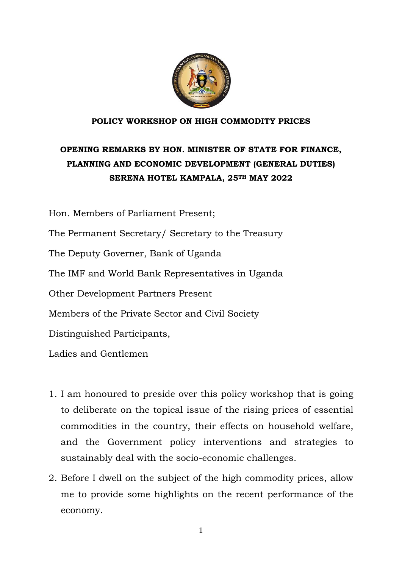

### **POLICY WORKSHOP ON HIGH COMMODITY PRICES**

# **OPENING REMARKS BY HON. MINISTER OF STATE FOR FINANCE, PLANNING AND ECONOMIC DEVELOPMENT (GENERAL DUTIES) SERENA HOTEL KAMPALA, 25TH MAY 2022**

Hon. Members of Parliament Present; The Permanent Secretary/ Secretary to the Treasury The Deputy Governer, Bank of Uganda The IMF and World Bank Representatives in Uganda Other Development Partners Present Members of the Private Sector and Civil Society Distinguished Participants, Ladies and Gentlemen

- 1. I am honoured to preside over this policy workshop that is going to deliberate on the topical issue of the rising prices of essential commodities in the country, their effects on household welfare, and the Government policy interventions and strategies to sustainably deal with the socio-economic challenges.
- 2. Before I dwell on the subject of the high commodity prices, allow me to provide some highlights on the recent performance of the economy.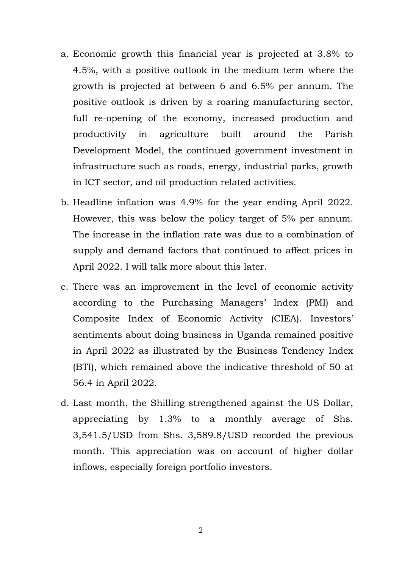- a. Economic growth this financial year is projected at 3.8% to 4.5%, with a positive outlook in the medium term where the growth is projected at between 6 and 6.5% per annum. The positive outlook is driven by a roaring manufacturing sector, full re-opening of the economy, increased production and productivity in agriculture built around the Parish Development Model, the continued government investment in infrastructure such as roads, energy, industrial parks, growth in ICT sector, and oil production related activities.
- b. Headline inflation was 4.9% for the year ending April 2022. However, this was below the policy target of 5% per annum. The increase in the inflation rate was due to a combination of supply and demand factors that continued to affect prices in April 2022. I will talk more about this later.
- c. There was an improvement in the level of economic activity according to the Purchasing Managers' Index (PMI) and Composite Index of Economic Activity (CIEA). Investors' sentiments about doing business in Uganda remained positive in April 2022 as illustrated by the Business Tendency Index (BTI), which remained above the indicative threshold of 50 at 56.4 in April 2022.
- d. Last month, the Shilling strengthened against the US Dollar, appreciating by 1.3% to a monthly average of Shs. 3,541.5/USD from Shs. 3,589.8/USD recorded the previous month. This appreciation was on account of higher dollar inflows, especially foreign portfolio investors.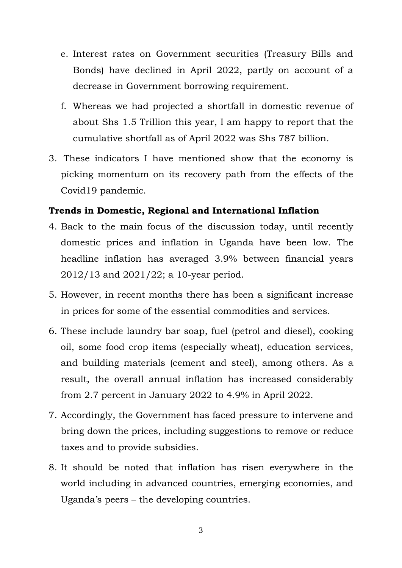- e. Interest rates on Government securities (Treasury Bills and Bonds) have declined in April 2022, partly on account of a decrease in Government borrowing requirement.
- f. Whereas we had projected a shortfall in domestic revenue of about Shs 1.5 Trillion this year, I am happy to report that the cumulative shortfall as of April 2022 was Shs 787 billion.
- 3. These indicators I have mentioned show that the economy is picking momentum on its recovery path from the effects of the Covid19 pandemic.

### **Trends in Domestic, Regional and International Inflation**

- 4. Back to the main focus of the discussion today, until recently domestic prices and inflation in Uganda have been low. The headline inflation has averaged 3.9% between financial years 2012/13 and 2021/22; a 10-year period.
- 5. However, in recent months there has been a significant increase in prices for some of the essential commodities and services.
- 6. These include laundry bar soap, fuel (petrol and diesel), cooking oil, some food crop items (especially wheat), education services, and building materials (cement and steel), among others. As a result, the overall annual inflation has increased considerably from 2.7 percent in January 2022 to 4.9% in April 2022.
- 7. Accordingly, the Government has faced pressure to intervene and bring down the prices, including suggestions to remove or reduce taxes and to provide subsidies.
- 8. It should be noted that inflation has risen everywhere in the world including in advanced countries, emerging economies, and Uganda's peers – the developing countries.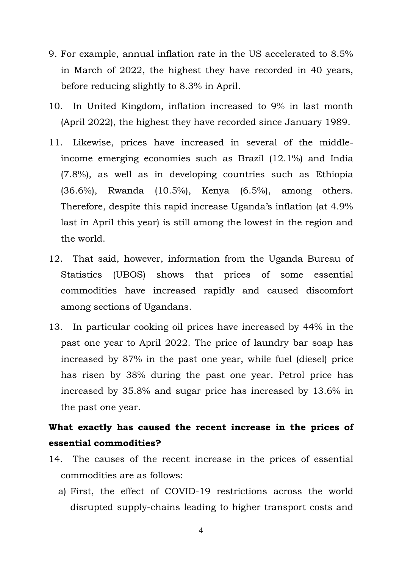- 9. For example, annual inflation rate in the US accelerated to 8.5% in March of 2022, the highest they have recorded in 40 years, before reducing slightly to 8.3% in April.
- 10. In United Kingdom, inflation increased to 9% in last month (April 2022), the highest they have recorded since January 1989.
- 11. Likewise, prices have increased in several of the middleincome emerging economies such as Brazil (12.1%) and India (7.8%), as well as in developing countries such as Ethiopia (36.6%), Rwanda (10.5%), Kenya (6.5%), among others. Therefore, despite this rapid increase Uganda's inflation (at 4.9% last in April this year) is still among the lowest in the region and the world.
- 12. That said, however, information from the Uganda Bureau of Statistics (UBOS) shows that prices of some essential commodities have increased rapidly and caused discomfort among sections of Ugandans.
- 13. In particular cooking oil prices have increased by 44% in the past one year to April 2022. The price of laundry bar soap has increased by 87% in the past one year, while fuel (diesel) price has risen by 38% during the past one year. Petrol price has increased by 35.8% and sugar price has increased by 13.6% in the past one year.

## **What exactly has caused the recent increase in the prices of essential commodities?**

- 14. The causes of the recent increase in the prices of essential commodities are as follows:
	- a) First, the effect of COVID-19 restrictions across the world disrupted supply-chains leading to higher transport costs and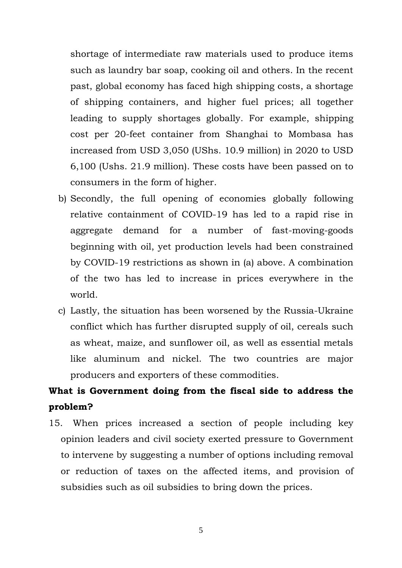shortage of intermediate raw materials used to produce items such as laundry bar soap, cooking oil and others. In the recent past, global economy has faced high shipping costs, a shortage of shipping containers, and higher fuel prices; all together leading to supply shortages globally. For example, shipping cost per 20-feet container from Shanghai to Mombasa has increased from USD 3,050 (UShs. 10.9 million) in 2020 to USD 6,100 (Ushs. 21.9 million). These costs have been passed on to consumers in the form of higher.

- b) Secondly, the full opening of economies globally following relative containment of COVID-19 has led to a rapid rise in aggregate demand for a number of fast-moving-goods beginning with oil, yet production levels had been constrained by COVID-19 restrictions as shown in (a) above. A combination of the two has led to increase in prices everywhere in the world.
- c) Lastly, the situation has been worsened by the Russia-Ukraine conflict which has further disrupted supply of oil, cereals such as wheat, maize, and sunflower oil, as well as essential metals like aluminum and nickel. The two countries are major producers and exporters of these commodities.

# **What is Government doing from the fiscal side to address the problem?**

15. When prices increased a section of people including key opinion leaders and civil society exerted pressure to Government to intervene by suggesting a number of options including removal or reduction of taxes on the affected items, and provision of subsidies such as oil subsidies to bring down the prices.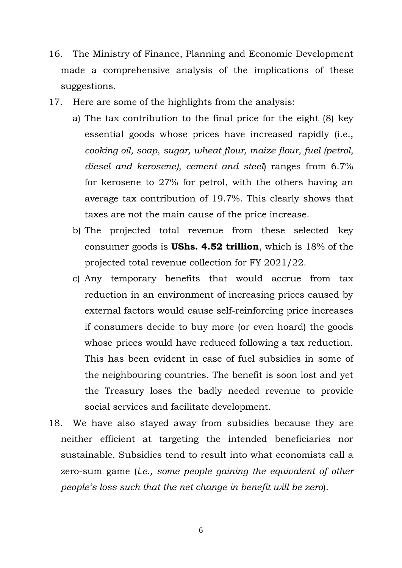- 16. The Ministry of Finance, Planning and Economic Development made a comprehensive analysis of the implications of these suggestions.
- 17. Here are some of the highlights from the analysis:
	- a) The tax contribution to the final price for the eight (8) key essential goods whose prices have increased rapidly (i.e., *cooking oil, soap, sugar, wheat flour, maize flour, fuel (petrol, diesel and kerosene), cement and steel*) ranges from 6.7% for kerosene to 27% for petrol, with the others having an average tax contribution of 19.7%. This clearly shows that taxes are not the main cause of the price increase.
	- b) The projected total revenue from these selected key consumer goods is **UShs. 4.52 trillion**, which is 18% of the projected total revenue collection for FY 2021/22.
	- c) Any temporary benefits that would accrue from tax reduction in an environment of increasing prices caused by external factors would cause self-reinforcing price increases if consumers decide to buy more (or even hoard) the goods whose prices would have reduced following a tax reduction. This has been evident in case of fuel subsidies in some of the neighbouring countries. The benefit is soon lost and yet the Treasury loses the badly needed revenue to provide social services and facilitate development.
- 18. We have also stayed away from subsidies because they are neither efficient at targeting the intended beneficiaries nor sustainable. Subsidies tend to result into what economists call a zero-sum game (*i.e., some people gaining the equivalent of other people's loss such that the net change in benefit will be zero*).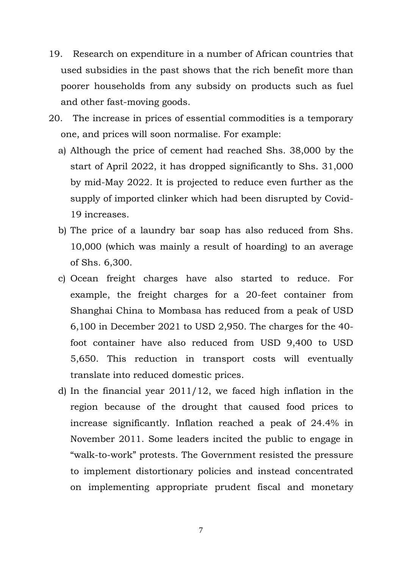- 19. Research on expenditure in a number of African countries that used subsidies in the past shows that the rich benefit more than poorer households from any subsidy on products such as fuel and other fast-moving goods.
- 20. The increase in prices of essential commodities is a temporary one, and prices will soon normalise. For example:
	- a) Although the price of cement had reached Shs. 38,000 by the start of April 2022, it has dropped significantly to Shs. 31,000 by mid-May 2022. It is projected to reduce even further as the supply of imported clinker which had been disrupted by Covid-19 increases.
	- b) The price of a laundry bar soap has also reduced from Shs. 10,000 (which was mainly a result of hoarding) to an average of Shs. 6,300.
	- c) Ocean freight charges have also started to reduce. For example, the freight charges for a 20-feet container from Shanghai China to Mombasa has reduced from a peak of USD 6,100 in December 2021 to USD 2,950. The charges for the 40 foot container have also reduced from USD 9,400 to USD 5,650. This reduction in transport costs will eventually translate into reduced domestic prices.
	- d) In the financial year 2011/12, we faced high inflation in the region because of the drought that caused food prices to increase significantly. Inflation reached a peak of 24.4% in November 2011. Some leaders incited the public to engage in "walk-to-work" protests. The Government resisted the pressure to implement distortionary policies and instead concentrated on implementing appropriate prudent fiscal and monetary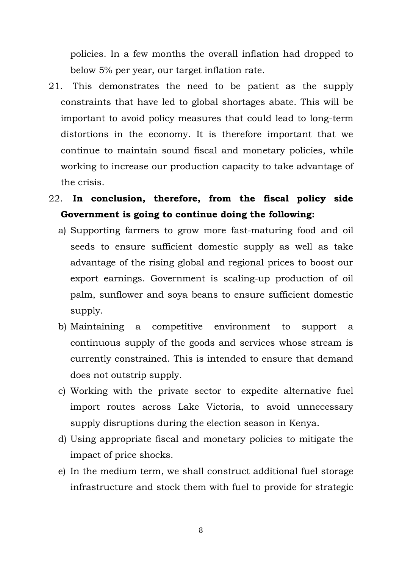policies. In a few months the overall inflation had dropped to below 5% per year, our target inflation rate.

- 21. This demonstrates the need to be patient as the supply constraints that have led to global shortages abate. This will be important to avoid policy measures that could lead to long-term distortions in the economy. It is therefore important that we continue to maintain sound fiscal and monetary policies, while working to increase our production capacity to take advantage of the crisis.
- 22. **In conclusion, therefore, from the fiscal policy side Government is going to continue doing the following:**
	- a) Supporting farmers to grow more fast-maturing food and oil seeds to ensure sufficient domestic supply as well as take advantage of the rising global and regional prices to boost our export earnings. Government is scaling-up production of oil palm, sunflower and soya beans to ensure sufficient domestic supply.
	- b) Maintaining a competitive environment to support a continuous supply of the goods and services whose stream is currently constrained. This is intended to ensure that demand does not outstrip supply.
	- c) Working with the private sector to expedite alternative fuel import routes across Lake Victoria, to avoid unnecessary supply disruptions during the election season in Kenya.
	- d) Using appropriate fiscal and monetary policies to mitigate the impact of price shocks.
	- e) In the medium term, we shall construct additional fuel storage infrastructure and stock them with fuel to provide for strategic

8